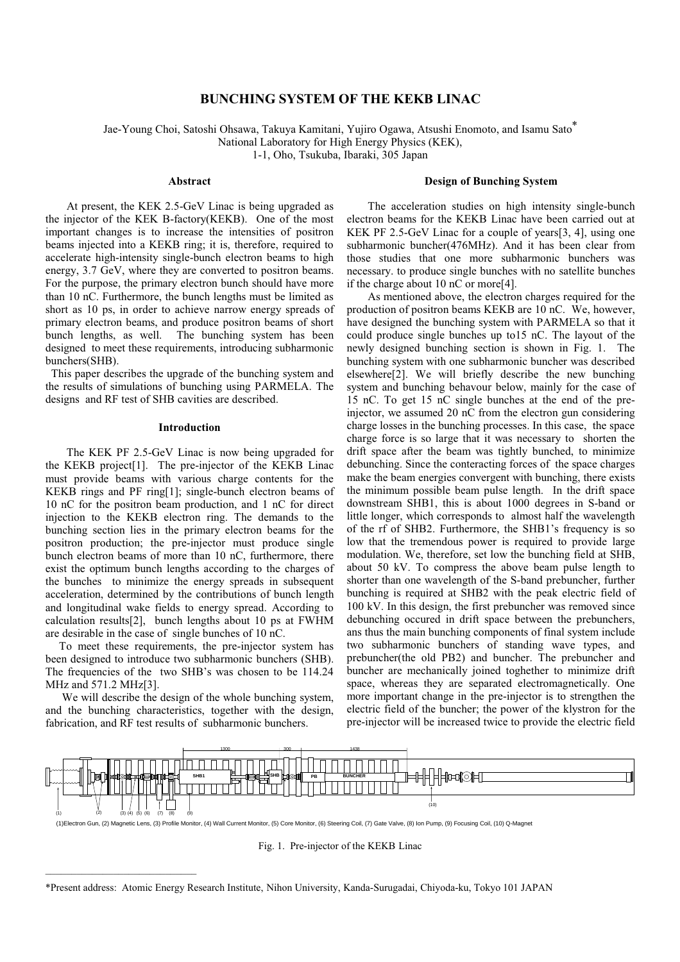# **BUNCHING SYSTEM OF THE KEKB LINAC**

Jae-Young Choi, Satoshi Ohsawa, Takuya Kamitani, Yujiro Ogawa, Atsushi Enomoto, and Isamu Sato<sup>\*</sup> National Laboratory for High Energy Physics (KEK),

1-1, Oho, Tsukuba, Ibaraki, 305 Japan

# Abstract

At present, the KEK 2.5-GeV Linac is being upgraded as the injector of the KEK B-factory(KEKB). One of the most important changes is to increase the intensities of positron beams injected into a KEKB ring; it is, therefore, required to accelerate high-intensity single-bunch electron beams to high energy, 3.7 GeV, where they are converted to positron beams. For the purpose, the primary electron bunch should have more than 10 nC. Furthermore, the bunch lengths must be limited as short as 10 ps, in order to achieve narrow energy spreads of primary electron beams, and produce positron beams of short bunch lengths, as well. The bunching system has been designed to meet these requirements, introducing subharmonic bunchers(SHB).

This paper describes the upgrade of the bunching system and the results of simulations of bunching using PARMELA. The designs and RF test of SHB cavities are described.

## **Introduction**

The KEK PF 2.5-GeV Linac is now being upgraded for the KEKB project[1]. The pre-injector of the KEKB Linac must provide beams with various charge contents for the KEKB rings and PF ring[1]; single-bunch electron beams of 10 nC for the positron beam production, and 1 nC for direct injection to the KEKB electron ring. The demands to the bunching section lies in the primary electron beams for the positron production; the pre-injector must produce single bunch electron beams of more than 10 nC, furthermore, there exist the optimum bunch lengths according to the charges of the bunches to minimize the energy spreads in subsequent acceleration, determined by the contributions of bunch length and longitudinal wake fields to energy spread. According to calculation results[2], bunch lengths about 10 ps at FWHM are desirable in the case of single bunches of 10 nC.

To meet these requirements, the pre-injector system has been designed to introduce two subharmonic bunchers (SHB). The frequencies of the two SHB's was chosen to be 114.24 MHz and 571.2 MHz[3].

We will describe the design of the whole bunching system, and the bunching characteristics, together with the design, fabrication, and RF test results of subharmonic bunchers.

# **Design of Bunching System**

The acceleration studies on high intensity single-bunch electron beams for the KEKB Linac have been carried out at KEK PF 2.5-GeV Linac for a couple of years [3, 4], using one subharmonic buncher(476MHz). And it has been clear from those studies that one more subharmonic bunchers was necessary, to produce single bunches with no satellite bunches if the charge about 10 nC or more[4].

As mentioned above, the electron charges required for the production of positron beams KEKB are 10 nC. We, however, have designed the bunching system with PARMELA so that it could produce single bunches up to 15 nC. The layout of the newly designed bunching section is shown in Fig. 1. The bunching system with one subharmonic buncher was described elsewhere<sup>[2]</sup>. We will briefly describe the new bunching system and bunching behavour below, mainly for the case of 15 nC. To get 15 nC single bunches at the end of the preinjector, we assumed 20 nC from the electron gun considering charge losses in the bunching processes. In this case, the space charge force is so large that it was necessary to shorten the drift space after the beam was tightly bunched, to minimize debunching. Since the conteracting forces of the space charges make the beam energies convergent with bunching, there exists the minimum possible beam pulse length. In the drift space downstream SHB1, this is about 1000 degrees in S-band or little longer, which corresponds to almost half the wavelength of the rf of SHB2. Furthermore, the SHB1's frequency is so low that the tremendous power is required to provide large modulation. We, therefore, set low the bunching field at SHB, about 50 kV. To compress the above beam pulse length to shorter than one wavelength of the S-band prebuncher, further bunching is required at SHB2 with the peak electric field of 100 kV. In this design, the first prebuncher was removed since debunching occured in drift space between the prebunchers, ans thus the main bunching components of final system include two subharmonic bunchers of standing wave types. and prebuncher (the old PB2) and buncher. The prebuncher and buncher are mechanically joined toghether to minimize drift space, whereas they are separated electromagnetically. One more important change in the pre-injector is to strengthen the electric field of the buncher; the power of the klystron for the pre-injector will be increased twice to provide the electric field



(1)Electron Gun, (2) Magnetic Lens, (3) Profile Monitor, (4) Wall Current Monitor, (5) Core Monitor, (6) Steering Coil, (7) Gate Valve, (8) Ion Pump, (9) Focusing Coil, (10) Q-Magnet

Fig. 1. Pre-injector of the KEKB Linac

\*Present address: Atomic Energy Research Institute, Nihon University, Kanda-Surugadai, Chiyoda-ku, Tokyo 101 JAPAN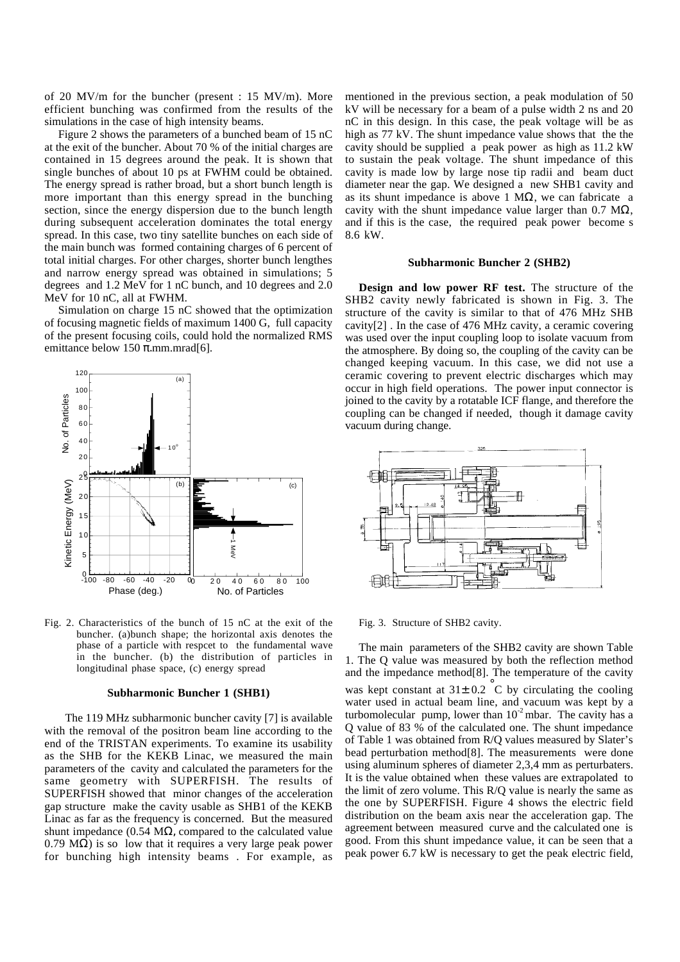of 20 MV/m for the buncher (present : 15 MV/m). More efficient bunching was confirmed from the results of the simulations in the case of high intensity beams.

Figure 2 shows the parameters of a bunched beam of 15 nC at the exit of the buncher. About 70 % of the initial charges are contained in 15 degrees around the peak. It is shown that single bunches of about 10 ps at FWHM could be obtained. The energy spread is rather broad, but a short bunch length is more important than this energy spread in the bunching section, since the energy dispersion due to the bunch length during subsequent acceleration dominates the total energy spread. In this case, two tiny satellite bunches on each side of the main bunch was formed containing charges of 6 percent of total initial charges. For other charges, shorter bunch lengthes and narrow energy spread was obtained in simulations; 5 degrees and 1.2 MeV for 1 nC bunch, and 10 degrees and 2.0 MeV for 10 nC, all at FWHM.

Simulation on charge 15 nC showed that the optimization of focusing magnetic fields of maximum 1400 G, full capacity of the present focusing coils, could hold the normalized RMS emittance below 150  $\pi$ .mm.mrad[6].



Fig. 2. Characteristics of the bunch of 15 nC at the exit of the buncher. (a)bunch shape; the horizontal axis denotes the phase of a particle with respcet to the fundamental wave in the buncher. (b) the distribution of particles in longitudinal phase space, (c) energy spread

#### **Subharmonic Buncher 1 (SHB1)**

The 119 MHz subharmonic buncher cavity [7] is available with the removal of the positron beam line according to the end of the TRISTAN experiments. To examine its usability as the SHB for the KEKB Linac, we measured the main parameters of the cavity and calculated the parameters for the same geometry with SUPERFISH. The results of SUPERFISH showed that minor changes of the acceleration gap structure make the cavity usable as SHB1 of the KEKB Linac as far as the frequency is concerned. But the measured shunt impedance (0.54 M $\Omega$ , compared to the calculated value 0.79 M $\Omega$ ) is so low that it requires a very large peak power for bunching high intensity beams . For example, as

mentioned in the previous section, a peak modulation of 50 kV will be necessary for a beam of a pulse width 2 ns and 20 nC in this design. In this case, the peak voltage will be as high as 77 kV. The shunt impedance value shows that the the cavity should be supplied a peak power as high as 11.2 kW to sustain the peak voltage. The shunt impedance of this cavity is made low by large nose tip radii and beam duct diameter near the gap. We designed a new SHB1 cavity and as its shunt impedance is above 1 MΩ, we can fabricate a cavity with the shunt impedance value larger than  $0.7 \text{ M}\Omega$ , and if this is the case, the required peak power become s 8.6 kW.

## **Subharmonic Buncher 2 (SHB2)**

**Design and low power RF test.** The structure of the SHB2 cavity newly fabricated is shown in Fig. 3. The structure of the cavity is similar to that of 476 MHz SHB cavity[2] . In the case of 476 MHz cavity, a ceramic covering was used over the input coupling loop to isolate vacuum from the atmosphere. By doing so, the coupling of the cavity can be changed keeping vacuum. In this case, we did not use a ceramic covering to prevent electric discharges which may occur in high field operations. The power input connector is joined to the cavity by a rotatable ICF flange, and therefore the coupling can be changed if needed, though it damage cavity vacuum during change.



Fig. 3. Structure of SHB2 cavity.

The main parameters of the SHB2 cavity are shown Table 1. The Q value was measured by both the reflection method and the impedance method[8]. The temperature of the cavity was kept constant at  $31\pm 0.2$  °C by circulating the cooling water used in actual beam line, and vacuum was kept by a turbomolecular pump, lower than  $10^{-2}$  mbar. The cavity has a Q value of 83 % of the calculated one. The shunt impedance of Table 1 was obtained from R/Q values measured by Slater's bead perturbation method[8]. The measurements were done using aluminum spheres of diameter 2,3,4 mm as perturbaters. It is the value obtained when these values are extrapolated to the limit of zero volume. This R/Q value is nearly the same as the one by SUPERFISH. Figure 4 shows the electric field distribution on the beam axis near the acceleration gap. The agreement between measured curve and the calculated one is good. From this shunt impedance value, it can be seen that a peak power 6.7 kW is necessary to get the peak electric field,